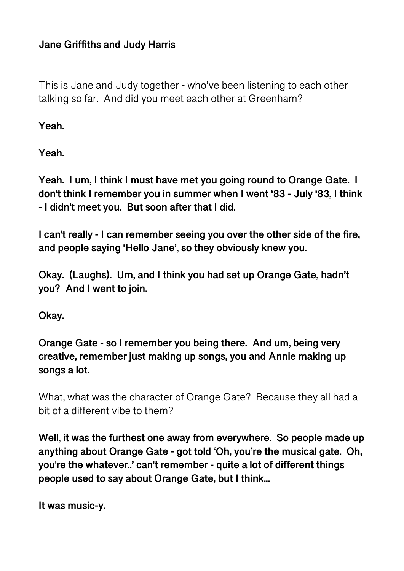### **Jane Griffiths and Judy Harris**

This is Jane and Judy together - who've been listening to each other talking so far. And did you meet each other at Greenham?

**Yeah.** 

**Yeah.** 

**Yeah. I um, I think I must have met you going round to Orange Gate. I don't think I remember you in summer when I went '83 - July '83, I think - I didn't meet you. But soon after that I did.** 

**I can't really - I can remember seeing you over the other side of the fire, and people saying 'Hello Jane', so they obviously knew you.** 

**Okay. (Laughs). Um, and I think you had set up Orange Gate, hadn't you? And I went to join.** 

**Okay.** 

**Orange Gate - so I remember you being there. And um, being very creative, remember just making up songs, you and Annie making up songs a lot.** 

What, what was the character of Orange Gate? Because they all had a bit of a different vibe to them?

**Well, it was the furthest one away from everywhere. So people made up anything about Orange Gate - got told 'Oh, you're the musical gate. Oh, you're the whatever..' can't remember - quite a lot of different things people used to say about Orange Gate, but I think...** 

```
It was music-y.
```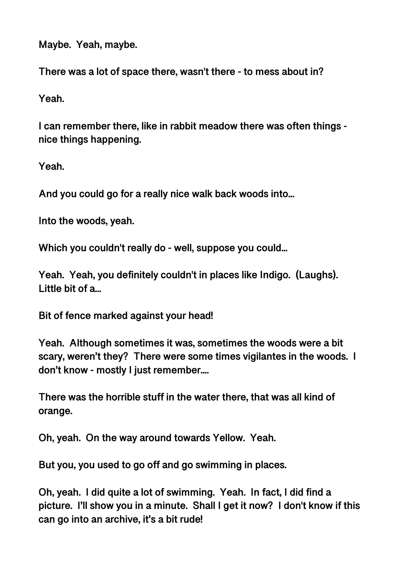**Maybe. Yeah, maybe.** 

**There was a lot of space there, wasn't there - to mess about in?** 

**Yeah.** 

**I can remember there, like in rabbit meadow there was often things nice things happening.** 

**Yeah.** 

**And you could go for a really nice walk back woods into...** 

**Into the woods, yeah.** 

**Which you couldn't really do - well, suppose you could...** 

**Yeah. Yeah, you definitely couldn't in places like Indigo. (Laughs). Little bit of a...** 

**Bit of fence marked against your head!** 

**Yeah. Although sometimes it was, sometimes the woods were a bit scary, weren't they? There were some times vigilantes in the woods. I don't know - mostly I just remember....** 

**There was the horrible stuff in the water there, that was all kind of orange.** 

**Oh, yeah. On the way around towards Yellow. Yeah.** 

**But you, you used to go off and go swimming in places.** 

**Oh, yeah. I did quite a lot of swimming. Yeah. In fact, I did find a picture. I'll show you in a minute. Shall I get it now? I don't know if this can go into an archive, it's a bit rude!**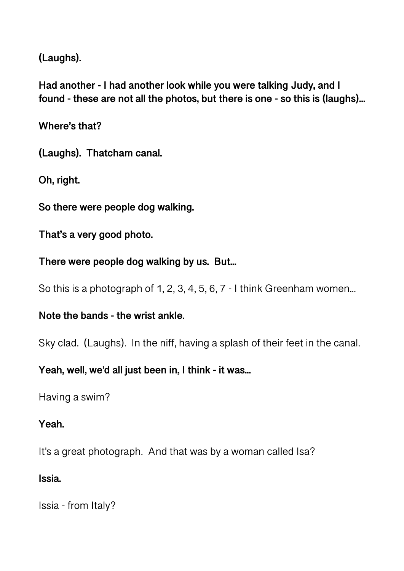**(Laughs).** 

**Had another - I had another look while you were talking Judy, and I found - these are not all the photos, but there is one - so this is (laughs)...** 

**Where's that?** 

**(Laughs). Thatcham canal.** 

**Oh, right.** 

**So there were people dog walking.** 

**That's a very good photo.** 

**There were people dog walking by us. But...** 

So this is a photograph of 1, 2, 3, 4, 5, 6, 7 - I think Greenham women...

**Note the bands - the wrist ankle.** 

Sky clad. (Laughs). In the niff, having a splash of their feet in the canal.

**Yeah, well, we'd all just been in, I think - it was...** 

Having a swim?

#### **Yeah.**

It's a great photograph. And that was by a woman called Isa?

#### **Issia.**

Issia - from Italy?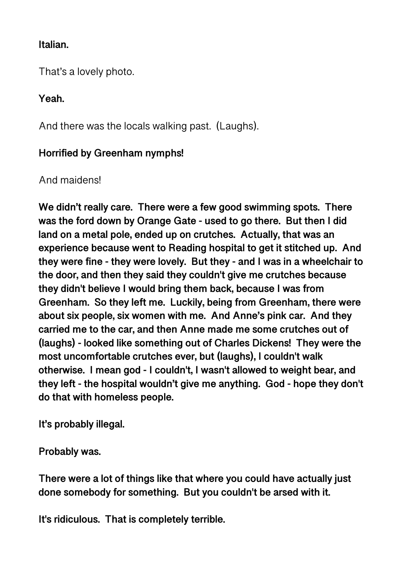#### **Italian.**

That's a lovely photo.

**Yeah.** 

And there was the locals walking past. (Laughs).

## **Horrified by Greenham nymphs!**

## And maidens!

**We didn't really care. There were a few good swimming spots. There was the ford down by Orange Gate - used to go there. But then I did land on a metal pole, ended up on crutches. Actually, that was an experience because went to Reading hospital to get it stitched up. And they were fine - they were lovely. But they - and I was in a wheelchair to the door, and then they said they couldn't give me crutches because they didn't believe I would bring them back, because I was from Greenham. So they left me. Luckily, being from Greenham, there were about six people, six women with me. And Anne's pink car. And they carried me to the car, and then Anne made me some crutches out of (laughs) - looked like something out of Charles Dickens! They were the most uncomfortable crutches ever, but (laughs), I couldn't walk otherwise. I mean god - I couldn't, I wasn't allowed to weight bear, and they left - the hospital wouldn't give me anything. God - hope they don't do that with homeless people.** 

**It's probably illegal.** 

**Probably was.** 

**There were a lot of things like that where you could have actually just done somebody for something. But you couldn't be arsed with it.** 

**It's ridiculous. That is completely terrible.**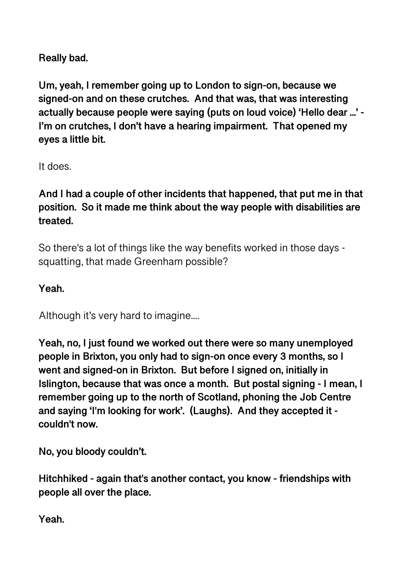**Really bad.** 

**Um, yeah, I remember going up to London to sign-on, because we signed-on and on these crutches. And that was, that was interesting actually because people were saying (puts on loud voice) 'Hello dear ...' - I'm on crutches, I don't have a hearing impairment. That opened my eyes a little bit.** 

It does.

**And I had a couple of other incidents that happened, that put me in that position. So it made me think about the way people with disabilities are treated.** 

So there's a lot of things like the way benefits worked in those days squatting, that made Greenham possible?

**Yeah.** 

Although it's very hard to imagine....

**Yeah, no, I just found we worked out there were so many unemployed people in Brixton, you only had to sign-on once every 3 months, so I went and signed-on in Brixton. But before I signed on, initially in Islington, because that was once a month. But postal signing - I mean, I remember going up to the north of Scotland, phoning the Job Centre and saying 'I'm looking for work'. (Laughs). And they accepted it couldn't now.** 

**No, you bloody couldn't.** 

**Hitchhiked - again that's another contact, you know - friendships with people all over the place.** 

**Yeah.**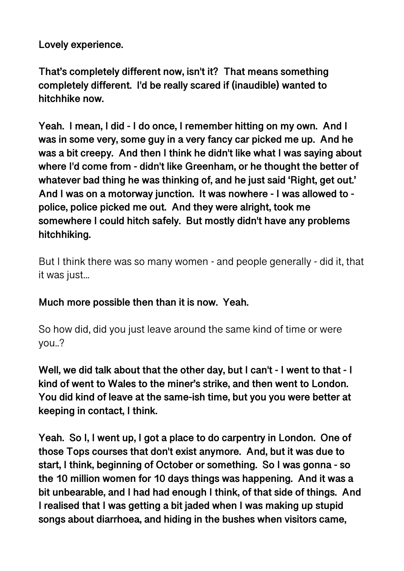**Lovely experience.** 

**That's completely different now, isn't it? That means something completely different. I'd be really scared if (inaudible) wanted to hitchhike now.** 

**Yeah. I mean, I did - I do once, I remember hitting on my own. And I was in some very, some guy in a very fancy car picked me up. And he was a bit creepy. And then I think he didn't like what I was saying about where I'd come from - didn't like Greenham, or he thought the better of whatever bad thing he was thinking of, and he just said 'Right, get out.' And I was on a motorway junction. It was nowhere - I was allowed to police, police picked me out. And they were alright, took me somewhere I could hitch safely. But mostly didn't have any problems hitchhiking.** 

But I think there was so many women - and people generally - did it, that it was just...

**Much more possible then than it is now. Yeah.** 

So how did, did you just leave around the same kind of time or were you..?

**Well, we did talk about that the other day, but I can't - I went to that - I kind of went to Wales to the miner's strike, and then went to London. You did kind of leave at the same-ish time, but you you were better at keeping in contact, I think.** 

**Yeah. So I, I went up, I got a place to do carpentry in London. One of those Tops courses that don't exist anymore. And, but it was due to start, I think, beginning of October or something. So I was gonna - so the 10 million women for 10 days things was happening. And it was a bit unbearable, and I had had enough I think, of that side of things. And I realised that I was getting a bit jaded when I was making up stupid songs about diarrhoea, and hiding in the bushes when visitors came,**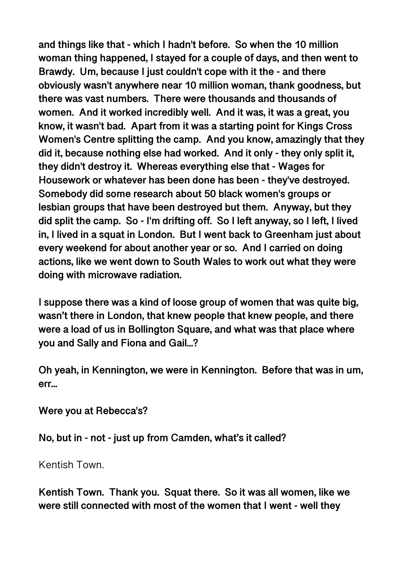**and things like that - which I hadn't before. So when the 10 million woman thing happened, I stayed for a couple of days, and then went to Brawdy. Um, because I just couldn't cope with it the - and there obviously wasn't anywhere near 10 million woman, thank goodness, but there was vast numbers. There were thousands and thousands of women. And it worked incredibly well. And it was, it was a great, you know, it wasn't bad. Apart from it was a starting point for Kings Cross Women's Centre splitting the camp. And you know, amazingly that they did it, because nothing else had worked. And it only - they only split it, they didn't destroy it. Whereas everything else that - Wages for Housework or whatever has been done has been - they've destroyed. Somebody did some research about 50 black women's groups or lesbian groups that have been destroyed but them. Anyway, but they did split the camp. So - I'm drifting off. So I left anyway, so I left, I lived in, I lived in a squat in London. But I went back to Greenham just about every weekend for about another year or so. And I carried on doing actions, like we went down to South Wales to work out what they were doing with microwave radiation.** 

**I suppose there was a kind of loose group of women that was quite big, wasn't there in London, that knew people that knew people, and there were a load of us in Bollington Square, and what was that place where you and Sally and Fiona and Gail...?** 

**Oh yeah, in Kennington, we were in Kennington. Before that was in um, err...** 

**Were you at Rebecca's?** 

**No, but in - not - just up from Camden, what's it called?** 

Kentish Town.

**Kentish Town. Thank you. Squat there. So it was all women, like we were still connected with most of the women that I went - well they**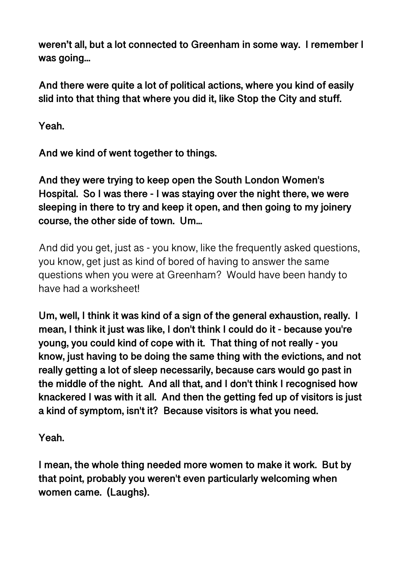**weren't all, but a lot connected to Greenham in some way. I remember I was going...** 

**And there were quite a lot of political actions, where you kind of easily slid into that thing that where you did it, like Stop the City and stuff.** 

**Yeah.** 

**And we kind of went together to things.** 

**And they were trying to keep open the South London Women's Hospital. So I was there - I was staying over the night there, we were sleeping in there to try and keep it open, and then going to my joinery course, the other side of town. Um...** 

And did you get, just as - you know, like the frequently asked questions, you know, get just as kind of bored of having to answer the same questions when you were at Greenham? Would have been handy to have had a worksheet!

**Um, well, I think it was kind of a sign of the general exhaustion, really. I mean, I think it just was like, I don't think I could do it - because you're young, you could kind of cope with it. That thing of not really - you know, just having to be doing the same thing with the evictions, and not really getting a lot of sleep necessarily, because cars would go past in the middle of the night. And all that, and I don't think I recognised how knackered I was with it all. And then the getting fed up of visitors is just a kind of symptom, isn't it? Because visitors is what you need.** 

**Yeah.** 

**I mean, the whole thing needed more women to make it work. But by that point, probably you weren't even particularly welcoming when women came. (Laughs).**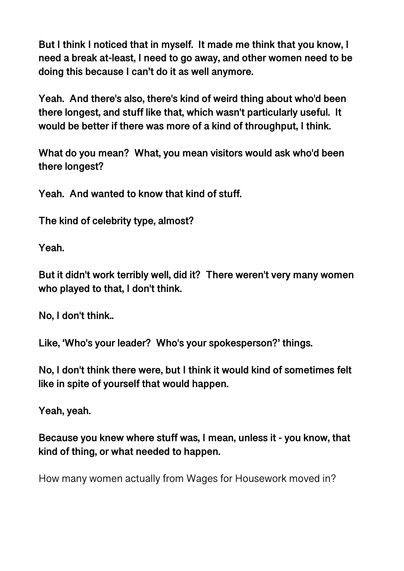**But I think I noticed that in myself. It made me think that you know, I need a break at-least, I need to go away, and other women need to be doing this because I can't do it as well anymore.** 

**Yeah. And there's also, there's kind of weird thing about who'd been there longest, and stuff like that, which wasn't particularly useful. It would be better if there was more of a kind of throughput, I think.** 

**What do you mean? What, you mean visitors would ask who'd been there longest?** 

**Yeah. And wanted to know that kind of stuff.** 

**The kind of celebrity type, almost?** 

**Yeah.** 

**But it didn't work terribly well, did it? There weren't very many women who played to that, I don't think.** 

**No, I don't think..** 

**Like, 'Who's your leader? Who's your spokesperson?' things.** 

**No, I don't think there were, but I think it would kind of sometimes felt like in spite of yourself that would happen.** 

**Yeah, yeah.** 

**Because you knew where stuff was, I mean, unless it - you know, that kind of thing, or what needed to happen.** 

How many women actually from Wages for Housework moved in?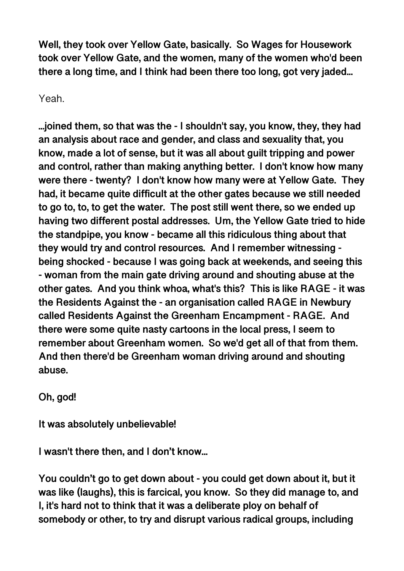**Well, they took over Yellow Gate, basically. So Wages for Housework took over Yellow Gate, and the women, many of the women who'd been there a long time, and I think had been there too long, got very jaded...** 

Yeah.

**...joined them, so that was the - I shouldn't say, you know, they, they had an analysis about race and gender, and class and sexuality that, you know, made a lot of sense, but it was all about guilt tripping and power and control, rather than making anything better. I don't know how many were there - twenty? I don't know how many were at Yellow Gate. They had, it became quite difficult at the other gates because we still needed to go to, to, to get the water. The post still went there, so we ended up having two different postal addresses. Um, the Yellow Gate tried to hide the standpipe, you know - became all this ridiculous thing about that they would try and control resources. And I remember witnessing being shocked - because I was going back at weekends, and seeing this - woman from the main gate driving around and shouting abuse at the other gates. And you think whoa, what's this? This is like RAGE - it was the Residents Against the - an organisation called RAGE in Newbury called Residents Against the Greenham Encampment - RAGE. And there were some quite nasty cartoons in the local press, I seem to remember about Greenham women. So we'd get all of that from them. And then there'd be Greenham woman driving around and shouting abuse.** 

**Oh, god!** 

**It was absolutely unbelievable!** 

**I wasn't there then, and I don't know...** 

**You couldn't go to get down about - you could get down about it, but it was like (laughs), this is farcical, you know. So they did manage to, and I, it's hard not to think that it was a deliberate ploy on behalf of somebody or other, to try and disrupt various radical groups, including**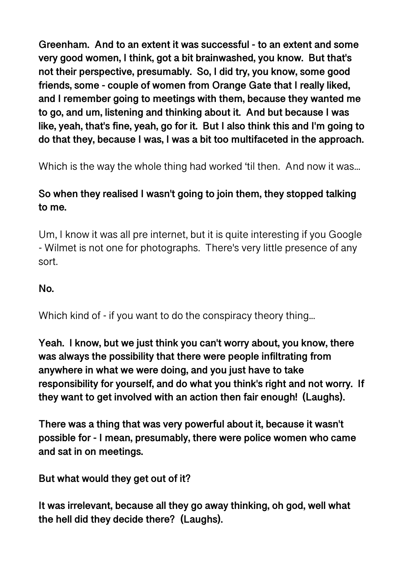**Greenham. And to an extent it was successful - to an extent and some very good women, I think, got a bit brainwashed, you know. But that's not their perspective, presumably. So, I did try, you know, some good friends, some - couple of women from Orange Gate that I really liked, and I remember going to meetings with them, because they wanted me to go, and um, listening and thinking about it. And but because I was like, yeah, that's fine, yeah, go for it. But I also think this and I'm going to do that they, because I was, I was a bit too multifaceted in the approach.** 

Which is the way the whole thing had worked 'til then. And now it was...

## **So when they realised I wasn't going to join them, they stopped talking to me.**

Um, I know it was all pre internet, but it is quite interesting if you Google - Wilmet is not one for photographs. There's very little presence of any sort.

#### **No.**

Which kind of - if you want to do the conspiracy theory thing...

**Yeah. I know, but we just think you can't worry about, you know, there was always the possibility that there were people infiltrating from anywhere in what we were doing, and you just have to take responsibility for yourself, and do what you think's right and not worry. If they want to get involved with an action then fair enough! (Laughs).** 

**There was a thing that was very powerful about it, because it wasn't possible for - I mean, presumably, there were police women who came and sat in on meetings.** 

**But what would they get out of it?** 

**It was irrelevant, because all they go away thinking, oh god, well what the hell did they decide there? (Laughs).**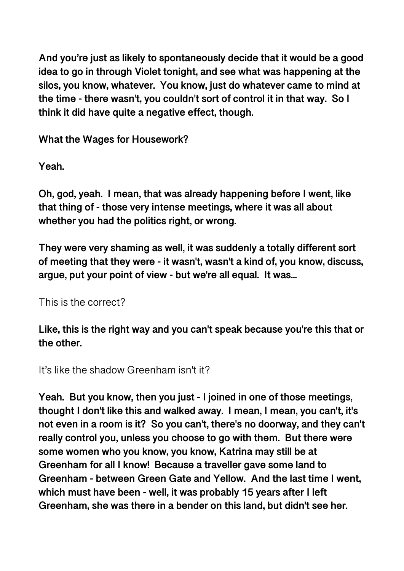**And you're just as likely to spontaneously decide that it would be a good idea to go in through Violet tonight, and see what was happening at the silos, you know, whatever. You know, just do whatever came to mind at the time - there wasn't, you couldn't sort of control it in that way. So I think it did have quite a negative effect, though.** 

**What the Wages for Housework?** 

**Yeah.** 

**Oh, god, yeah. I mean, that was already happening before I went, like that thing of - those very intense meetings, where it was all about whether you had the politics right, or wrong.** 

**They were very shaming as well, it was suddenly a totally different sort of meeting that they were - it wasn't, wasn't a kind of, you know, discuss, argue, put your point of view - but we're all equal. It was...** 

This is the correct?

**Like, this is the right way and you can't speak because you're this that or the other.** 

It's like the shadow Greenham isn't it?

**Yeah. But you know, then you just - I joined in one of those meetings, thought I don't like this and walked away. I mean, I mean, you can't, it's not even in a room is it? So you can't, there's no doorway, and they can't really control you, unless you choose to go with them. But there were some women who you know, you know, Katrina may still be at Greenham for all I know! Because a traveller gave some land to Greenham - between Green Gate and Yellow. And the last time I went, which must have been - well, it was probably 15 years after I left Greenham, she was there in a bender on this land, but didn't see her.**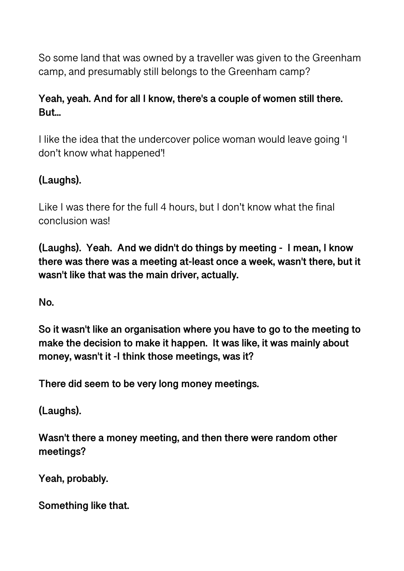So some land that was owned by a traveller was given to the Greenham camp, and presumably still belongs to the Greenham camp?

## **Yeah, yeah. And for all I know, there's a couple of women still there. But...**

I like the idea that the undercover police woman would leave going 'I don't know what happened'!

## **(Laughs).**

Like I was there for the full 4 hours, but I don't know what the final conclusion was!

**(Laughs). Yeah. And we didn't do things by meeting - I mean, I know there was there was a meeting at-least once a week, wasn't there, but it wasn't like that was the main driver, actually.** 

**No.** 

**So it wasn't like an organisation where you have to go to the meeting to make the decision to make it happen. It was like, it was mainly about money, wasn't it -I think those meetings, was it?** 

**There did seem to be very long money meetings.** 

**(Laughs).** 

**Wasn't there a money meeting, and then there were random other meetings?** 

**Yeah, probably.** 

**Something like that.**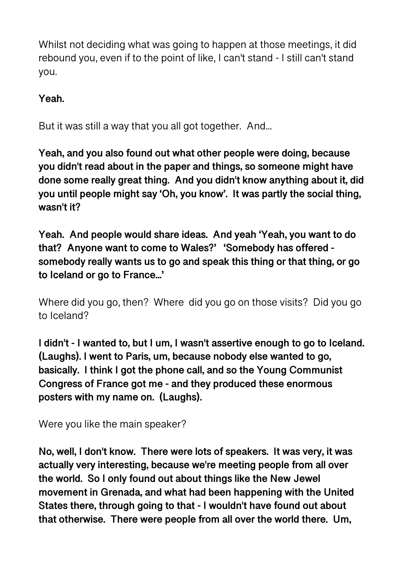Whilst not deciding what was going to happen at those meetings, it did rebound you, even if to the point of like, I can't stand - I still can't stand you.

**Yeah.** 

But it was still a way that you all got together. And...

**Yeah, and you also found out what other people were doing, because you didn't read about in the paper and things, so someone might have done some really great thing. And you didn't know anything about it, did you until people might say 'Oh, you know'. It was partly the social thing, wasn't it?** 

**Yeah. And people would share ideas. And yeah 'Yeah, you want to do that? Anyone want to come to Wales?' 'Somebody has offered somebody really wants us to go and speak this thing or that thing, or go to Iceland or go to France...'** 

Where did you go, then? Where did you go on those visits? Did you go to Iceland?

**I didn't - I wanted to, but I um, I wasn't assertive enough to go to Iceland. (Laughs). I went to Paris, um, because nobody else wanted to go, basically. I think I got the phone call, and so the Young Communist Congress of France got me - and they produced these enormous posters with my name on. (Laughs).** 

Were you like the main speaker?

**No, well, I don't know. There were lots of speakers. It was very, it was actually very interesting, because we're meeting people from all over the world. So I only found out about things like the New Jewel movement in Grenada, and what had been happening with the United States there, through going to that - I wouldn't have found out about that otherwise. There were people from all over the world there. Um,**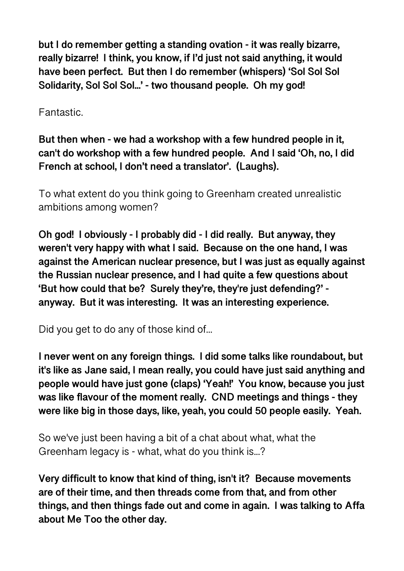**but I do remember getting a standing ovation - it was really bizarre, really bizarre! I think, you know, if I'd just not said anything, it would have been perfect. But then I do remember (whispers) 'Sol Sol Sol Solidarity, Sol Sol Sol...' - two thousand people. Oh my god!** 

Fantastic.

**But then when - we had a workshop with a few hundred people in it, can't do workshop with a few hundred people. And I said 'Oh, no, I did French at school, I don't need a translator'. (Laughs).** 

To what extent do you think going to Greenham created unrealistic ambitions among women?

**Oh god! I obviously - I probably did - I did really. But anyway, they weren't very happy with what I said. Because on the one hand, I was against the American nuclear presence, but I was just as equally against the Russian nuclear presence, and I had quite a few questions about 'But how could that be? Surely they're, they're just defending?' anyway. But it was interesting. It was an interesting experience.** 

Did you get to do any of those kind of...

**I never went on any foreign things. I did some talks like roundabout, but it's like as Jane said, I mean really, you could have just said anything and people would have just gone (claps) 'Yeah!' You know, because you just was like flavour of the moment really. CND meetings and things - they were like big in those days, like, yeah, you could 50 people easily. Yeah.** 

So we've just been having a bit of a chat about what, what the Greenham legacy is - what, what do you think is...?

**Very difficult to know that kind of thing, isn't it? Because movements are of their time, and then threads come from that, and from other things, and then things fade out and come in again. I was talking to Affa about Me Too the other day.**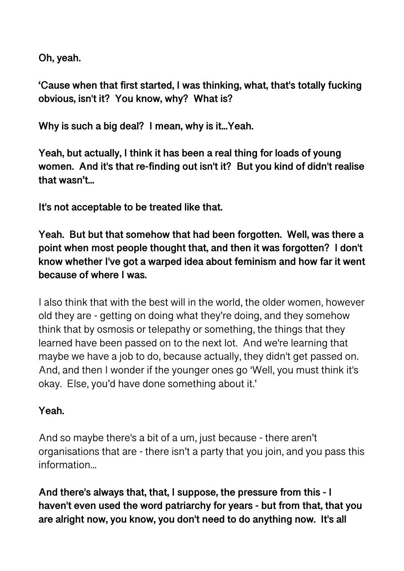**Oh, yeah.** 

**'Cause when that first started, I was thinking, what, that's totally fucking obvious, isn't it? You know, why? What is?** 

**Why is such a big deal? I mean, why is it...Yeah.** 

**Yeah, but actually, I think it has been a real thing for loads of young women. And it's that re-finding out isn't it? But you kind of didn't realise that wasn't...** 

**It's not acceptable to be treated like that.** 

**Yeah. But but that somehow that had been forgotten. Well, was there a point when most people thought that, and then it was forgotten? I don't know whether I've got a warped idea about feminism and how far it went because of where I was.** 

I also think that with the best will in the world, the older women, however old they are - getting on doing what they're doing, and they somehow think that by osmosis or telepathy or something, the things that they learned have been passed on to the next lot. And we're learning that maybe we have a job to do, because actually, they didn't get passed on. And, and then I wonder if the younger ones go 'Well, you must think it's okay. Else, you'd have done something about it.'

## **Yeah.**

And so maybe there's a bit of a um, just because - there aren't organisations that are - there isn't a party that you join, and you pass this information...

**And there's always that, that, I suppose, the pressure from this - I haven't even used the word patriarchy for years - but from that, that you are alright now, you know, you don't need to do anything now. It's all**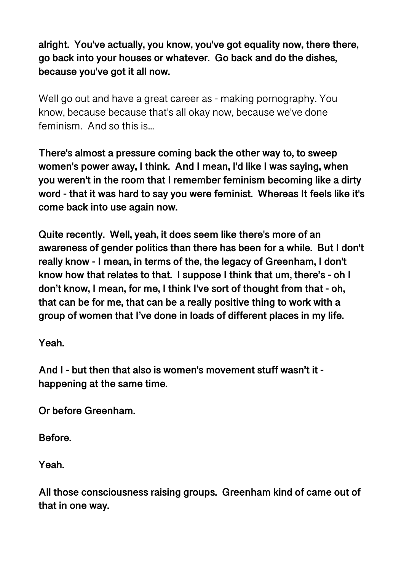**alright. You've actually, you know, you've got equality now, there there, go back into your houses or whatever. Go back and do the dishes, because you've got it all now.** 

Well go out and have a great career as - making pornography. You know, because because that's all okay now, because we've done feminism. And so this is...

**There's almost a pressure coming back the other way to, to sweep women's power away, I think. And I mean, I'd like I was saying, when you weren't in the room that I remember feminism becoming like a dirty word - that it was hard to say you were feminist. Whereas It feels like it's come back into use again now.** 

**Quite recently. Well, yeah, it does seem like there's more of an awareness of gender politics than there has been for a while. But I don't really know - I mean, in terms of the, the legacy of Greenham, I don't know how that relates to that. I suppose I think that um, there's - oh I don't know, I mean, for me, I think I've sort of thought from that - oh, that can be for me, that can be a really positive thing to work with a group of women that I've done in loads of different places in my life.** 

**Yeah.** 

**And I - but then that also is women's movement stuff wasn't it happening at the same time.** 

**Or before Greenham.** 

**Before.** 

**Yeah.** 

**All those consciousness raising groups. Greenham kind of came out of that in one way.**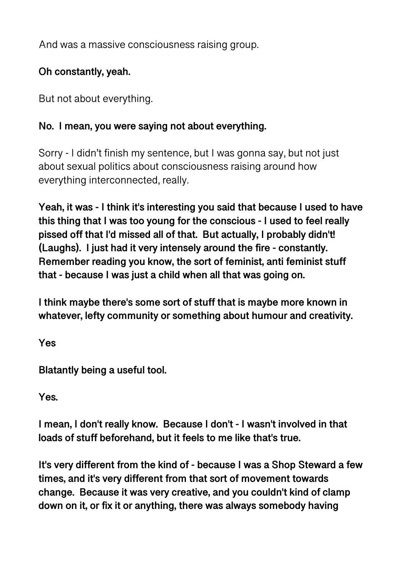And was a massive consciousness raising group.

## **Oh constantly, yeah.**

But not about everything.

### **No. I mean, you were saying not about everything.**

Sorry - I didn't finish my sentence, but I was gonna say, but not just about sexual politics about consciousness raising around how everything interconnected, really.

**Yeah, it was - I think it's interesting you said that because I used to have this thing that I was too young for the conscious - I used to feel really pissed off that I'd missed all of that. But actually, I probably didn't! (Laughs). I just had it very intensely around the fire - constantly. Remember reading you know, the sort of feminist, anti feminist stuff that - because I was just a child when all that was going on.** 

**I think maybe there's some sort of stuff that is maybe more known in whatever, lefty community or something about humour and creativity.** 

**Yes** 

**Blatantly being a useful tool.** 

**Yes.** 

**I mean, I don't really know. Because I don't - I wasn't involved in that loads of stuff beforehand, but it feels to me like that's true.** 

**It's very different from the kind of - because I was a Shop Steward a few times, and it's very different from that sort of movement towards change. Because it was very creative, and you couldn't kind of clamp down on it, or fix it or anything, there was always somebody having**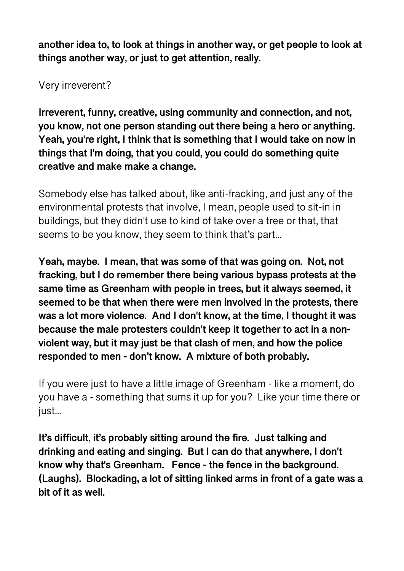**another idea to, to look at things in another way, or get people to look at things another way, or just to get attention, really.** 

Very irreverent?

**Irreverent, funny, creative, using community and connection, and not, you know, not one person standing out there being a hero or anything. Yeah, you're right, I think that is something that I would take on now in things that I'm doing, that you could, you could do something quite creative and make make a change.** 

Somebody else has talked about, like anti-fracking, and just any of the environmental protests that involve, I mean, people used to sit-in in buildings, but they didn't use to kind of take over a tree or that, that seems to be you know, they seem to think that's part...

**Yeah, maybe. I mean, that was some of that was going on. Not, not fracking, but I do remember there being various bypass protests at the same time as Greenham with people in trees, but it always seemed, it seemed to be that when there were men involved in the protests, there was a lot more violence. And I don't know, at the time, I thought it was because the male protesters couldn't keep it together to act in a nonviolent way, but it may just be that clash of men, and how the police responded to men - don't know. A mixture of both probably.** 

If you were just to have a little image of Greenham - like a moment, do you have a - something that sums it up for you? Like your time there or just...

**It's difficult, it's probably sitting around the fire. Just talking and drinking and eating and singing. But I can do that anywhere, I don't know why that's Greenham. Fence - the fence in the background. (Laughs). Blockading, a lot of sitting linked arms in front of a gate was a bit of it as well.**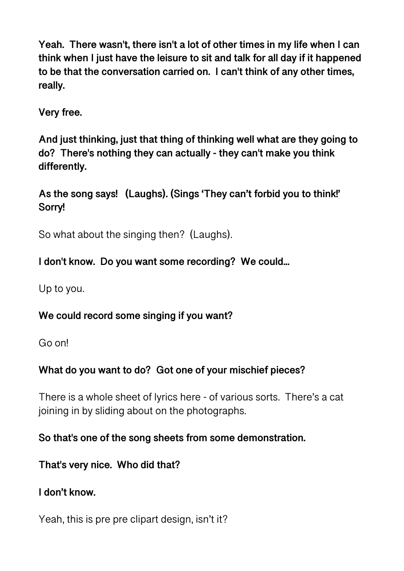**Yeah. There wasn't, there isn't a lot of other times in my life when I can think when I just have the leisure to sit and talk for all day if it happened to be that the conversation carried on. I can't think of any other times, really.** 

**Very free.** 

**And just thinking, just that thing of thinking well what are they going to do? There's nothing they can actually - they can't make you think differently.** 

**As the song says! (Laughs). (Sings 'They can't forbid you to think!' Sorry!** 

So what about the singing then? (Laughs).

**I don't know. Do you want some recording? We could...** 

Up to you.

**We could record some singing if you want?** 

Go on!

## **What do you want to do? Got one of your mischief pieces?**

There is a whole sheet of lyrics here - of various sorts. There's a cat joining in by sliding about on the photographs.

## **So that's one of the song sheets from some demonstration.**

**That's very nice. Who did that?** 

**I don't know.** 

Yeah, this is pre pre clipart design, isn't it?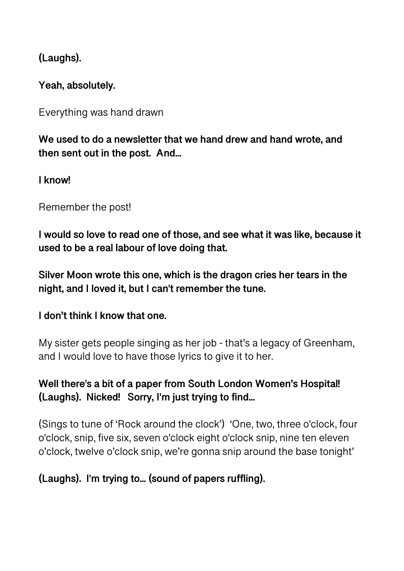**(Laughs).** 

**Yeah, absolutely.** 

Everything was hand drawn

**We used to do a newsletter that we hand drew and hand wrote, and then sent out in the post. And...** 

**I know!** 

Remember the post!

**I would so love to read one of those, and see what it was like, because it used to be a real labour of love doing that.** 

**Silver Moon wrote this one, which is the dragon cries her tears in the night, and I loved it, but I can't remember the tune.** 

**I don't think I know that one.** 

My sister gets people singing as her job - that's a legacy of Greenham, and I would love to have those lyrics to give it to her.

## **Well there's a bit of a paper from South London Women's Hospital! (Laughs). Nicked! Sorry, I'm just trying to find...**

(Sings to tune of 'Rock around the clock') 'One, two, three o'clock, four o'clock, snip, five six, seven o'clock eight o'clock snip, nine ten eleven o'clock, twelve o'clock snip, we're gonna snip around the base tonight'

## **(Laughs). I'm trying to... (sound of papers ruffling).**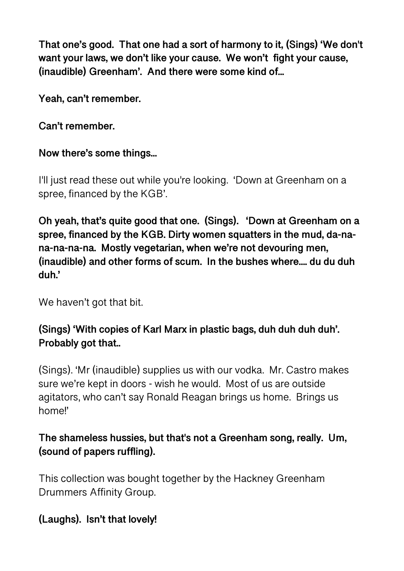**That one's good. That one had a sort of harmony to it, (Sings) 'We don't want your laws, we don't like your cause. We won't fight your cause, (inaudible) Greenham'. And there were some kind of...** 

**Yeah, can't remember.** 

#### **Can't remember.**

#### **Now there's some things...**

I'll just read these out while you're looking. 'Down at Greenham on a spree, financed by the KGB'.

**Oh yeah, that's quite good that one. (Sings). 'Down at Greenham on a spree, financed by the KGB. Dirty women squatters in the mud, da-nana-na-na-na. Mostly vegetarian, when we're not devouring men, (inaudible) and other forms of scum. In the bushes where.... du du duh duh.'** 

We haven't got that bit.

## **(Sings) 'With copies of Karl Marx in plastic bags, duh duh duh duh'. Probably got that..**

(Sings). 'Mr (inaudible) supplies us with our vodka. Mr. Castro makes sure we're kept in doors - wish he would. Most of us are outside agitators, who can't say Ronald Reagan brings us home. Brings us home!'

## **The shameless hussies, but that's not a Greenham song, really. Um, (sound of papers ruffling).**

This collection was bought together by the Hackney Greenham Drummers Affinity Group.

### **(Laughs). Isn't that lovely!**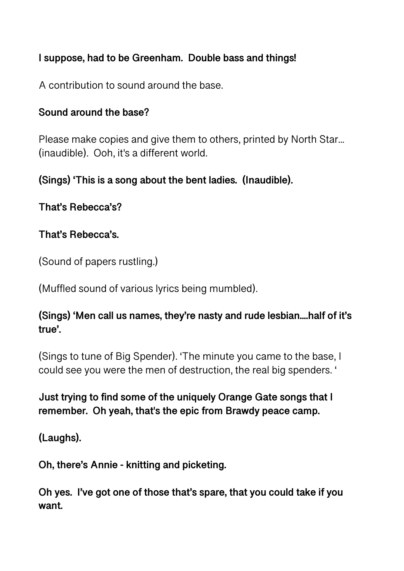## **I suppose, had to be Greenham. Double bass and things!**

A contribution to sound around the base.

#### **Sound around the base?**

Please make copies and give them to others, printed by North Star... (inaudible). Ooh, it's a different world.

## **(Sings) 'This is a song about the bent ladies. (Inaudible).**

**That's Rebecca's?** 

### **That's Rebecca's.**

(Sound of papers rustling.)

(Muffled sound of various lyrics being mumbled).

## **(Sings) 'Men call us names, they're nasty and rude lesbian....half of it's true'.**

(Sings to tune of Big Spender). 'The minute you came to the base, I could see you were the men of destruction, the real big spenders. '

## **Just trying to find some of the uniquely Orange Gate songs that I remember. Oh yeah, that's the epic from Brawdy peace camp.**

**(Laughs).** 

**Oh, there's Annie - knitting and picketing.** 

**Oh yes. I've got one of those that's spare, that you could take if you want.**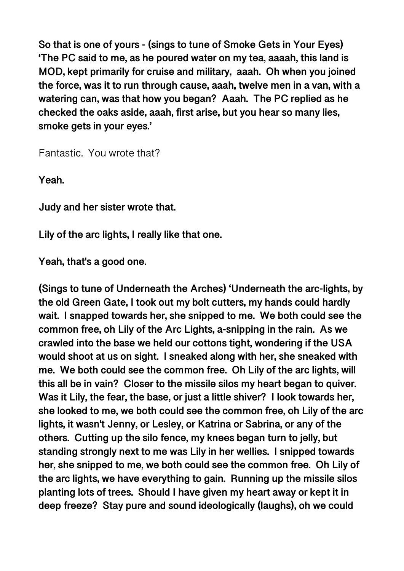**So that is one of yours - (sings to tune of Smoke Gets in Your Eyes) 'The PC said to me, as he poured water on my tea, aaaah, this land is MOD, kept primarily for cruise and military, aaah. Oh when you joined the force, was it to run through cause, aaah, twelve men in a van, with a watering can, was that how you began? Aaah. The PC replied as he checked the oaks aside, aaah, first arise, but you hear so many lies, smoke gets in your eyes.'** 

Fantastic. You wrote that?

**Yeah.** 

**Judy and her sister wrote that.** 

**Lily of the arc lights, I really like that one.** 

**Yeah, that's a good one.** 

**(Sings to tune of Underneath the Arches) 'Underneath the arc-lights, by the old Green Gate, I took out my bolt cutters, my hands could hardly wait. I snapped towards her, she snipped to me. We both could see the common free, oh Lily of the Arc Lights, a-snipping in the rain. As we crawled into the base we held our cottons tight, wondering if the USA would shoot at us on sight. I sneaked along with her, she sneaked with me. We both could see the common free. Oh Lily of the arc lights, will this all be in vain? Closer to the missile silos my heart began to quiver. Was it Lily, the fear, the base, or just a little shiver? I look towards her, she looked to me, we both could see the common free, oh Lily of the arc lights, it wasn't Jenny, or Lesley, or Katrina or Sabrina, or any of the others. Cutting up the silo fence, my knees began turn to jelly, but standing strongly next to me was Lily in her wellies. I snipped towards her, she snipped to me, we both could see the common free. Oh Lily of the arc lights, we have everything to gain. Running up the missile silos planting lots of trees. Should I have given my heart away or kept it in deep freeze? Stay pure and sound ideologically (laughs), oh we could**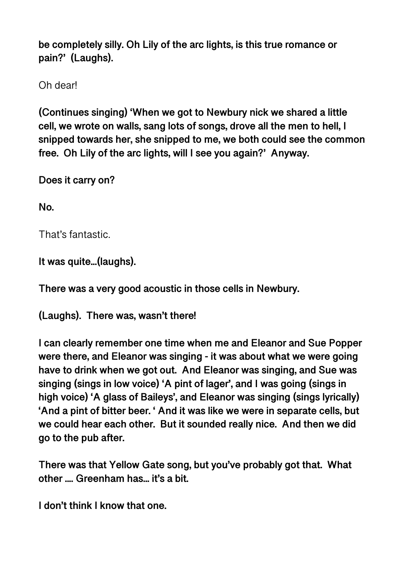**be completely silly. Oh Lily of the arc lights, is this true romance or pain?' (Laughs).** 

Oh dear!

**(Continues singing) 'When we got to Newbury nick we shared a little cell, we wrote on walls, sang lots of songs, drove all the men to hell, I snipped towards her, she snipped to me, we both could see the common free. Oh Lily of the arc lights, will I see you again?' Anyway.** 

**Does it carry on?** 

**No.** 

That's fantastic.

**It was quite...(laughs).** 

**There was a very good acoustic in those cells in Newbury.** 

**(Laughs). There was, wasn't there!** 

**I can clearly remember one time when me and Eleanor and Sue Popper were there, and Eleanor was singing - it was about what we were going have to drink when we got out. And Eleanor was singing, and Sue was singing (sings in low voice) 'A pint of lager', and I was going (sings in high voice) 'A glass of Baileys', and Eleanor was singing (sings lyrically) 'And a pint of bitter beer. ' And it was like we were in separate cells, but we could hear each other. But it sounded really nice. And then we did go to the pub after.** 

**There was that Yellow Gate song, but you've probably got that. What other .... Greenham has... it's a bit.** 

**I don't think I know that one.**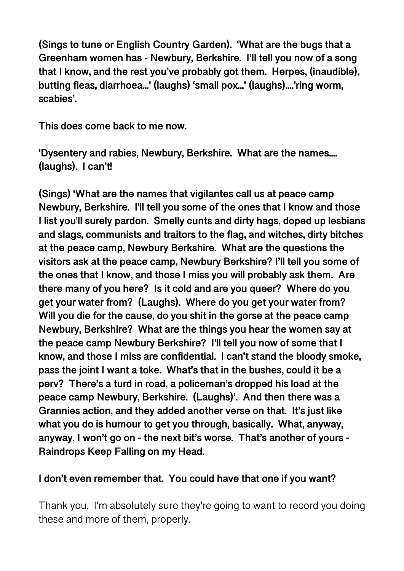**(Sings to tune or English Country Garden). 'What are the bugs that a Greenham women has - Newbury, Berkshire. I'll tell you now of a song that I know, and the rest you've probably got them. Herpes, (inaudible), butting fleas, diarrhoea...' (laughs) 'small pox...' (laughs)....'ring worm, scabies'.** 

**This does come back to me now.** 

**'Dysentery and rabies, Newbury, Berkshire. What are the names.... (laughs). I can't!** 

**(Sings) 'What are the names that vigilantes call us at peace camp Newbury, Berkshire. I'll tell you some of the ones that I know and those I list you'll surely pardon. Smelly cunts and dirty hags, doped up lesbians and slags, communists and traitors to the flag, and witches, dirty bitches at the peace camp, Newbury Berkshire. What are the questions the visitors ask at the peace camp, Newbury Berkshire? I'll tell you some of the ones that I know, and those I miss you will probably ask them. Are there many of you here? Is it cold and are you queer? Where do you get your water from? (Laughs). Where do you get your water from? Will you die for the cause, do you shit in the gorse at the peace camp Newbury, Berkshire? What are the things you hear the women say at the peace camp Newbury Berkshire? I'll tell you now of some that I know, and those I miss are confidential. I can't stand the bloody smoke, pass the joint I want a toke. What's that in the bushes, could it be a perv? There's a turd in road, a policeman's dropped his load at the peace camp Newbury, Berkshire. (Laughs)'. And then there was a Grannies action, and they added another verse on that. It's just like what you do is humour to get you through, basically. What, anyway, anyway, I won't go on - the next bit's worse. That's another of yours - Raindrops Keep Falling on my Head.** 

### **I don't even remember that. You could have that one if you want?**

Thank you. I'm absolutely sure they're going to want to record you doing these and more of them, properly.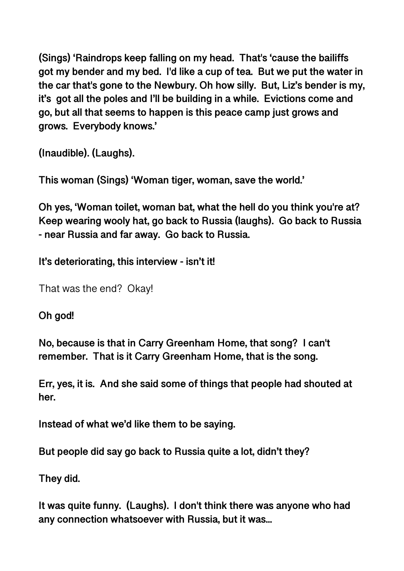**(Sings) 'Raindrops keep falling on my head. That's 'cause the bailiffs got my bender and my bed. I'd like a cup of tea. But we put the water in the car that's gone to the Newbury. Oh how silly. But, Liz's bender is my, it's got all the poles and I'll be building in a while. Evictions come and go, but all that seems to happen is this peace camp just grows and grows. Everybody knows.'** 

**(Inaudible). (Laughs).** 

**This woman (Sings) 'Woman tiger, woman, save the world.'** 

**Oh yes, 'Woman toilet, woman bat, what the hell do you think you're at? Keep wearing wooly hat, go back to Russia (laughs). Go back to Russia - near Russia and far away. Go back to Russia.** 

**It's deteriorating, this interview - isn't it!** 

That was the end? Okay!

**Oh god!** 

**No, because is that in Carry Greenham Home, that song? I can't remember. That is it Carry Greenham Home, that is the song.** 

**Err, yes, it is. And she said some of things that people had shouted at her.** 

**Instead of what we'd like them to be saying.** 

**But people did say go back to Russia quite a lot, didn't they?** 

**They did.** 

**It was quite funny. (Laughs). I don't think there was anyone who had any connection whatsoever with Russia, but it was...**